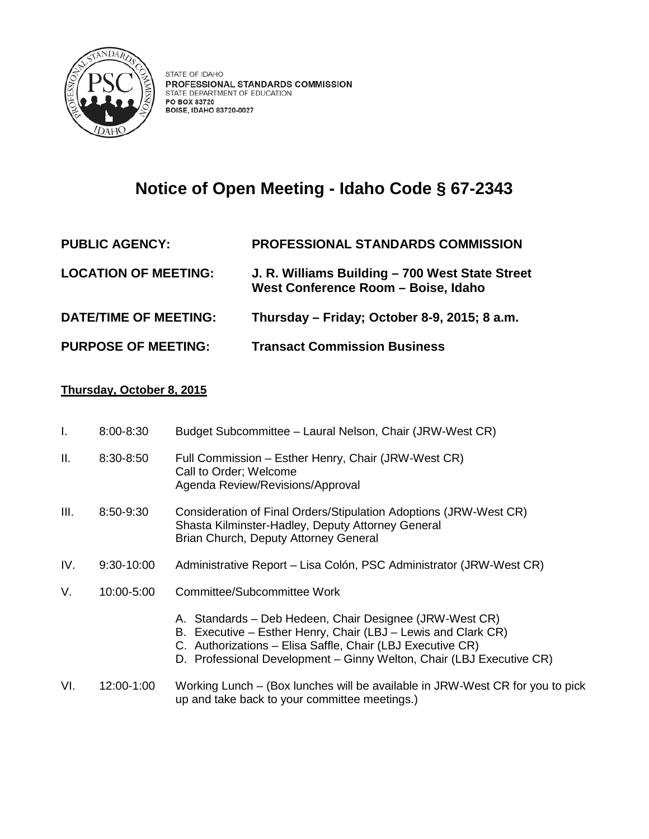

## **Notice of Open Meeting - Idaho Code § 67-2343**

## **PUBLIC AGENCY: PROFESSIONAL STANDARDS COMMISSION LOCATION OF MEETING: J. R. Williams Building – 700 West State Street West Conference Room – Boise, Idaho DATE/TIME OF MEETING: Thursday – Friday; October 8-9, 2015; 8 a.m. PURPOSE OF MEETING: Transact Commission Business**

## **Thursday, October 8, 2015**

| I.   | 8:00-8:30  | Budget Subcommittee - Laural Nelson, Chair (JRW-West CR)                                                                                                                                                                                                       |
|------|------------|----------------------------------------------------------------------------------------------------------------------------------------------------------------------------------------------------------------------------------------------------------------|
| ΙΙ.  | 8:30-8:50  | Full Commission - Esther Henry, Chair (JRW-West CR)<br>Call to Order; Welcome<br>Agenda Review/Revisions/Approval                                                                                                                                              |
| III. | 8:50-9:30  | Consideration of Final Orders/Stipulation Adoptions (JRW-West CR)<br>Shasta Kilminster-Hadley, Deputy Attorney General<br>Brian Church, Deputy Attorney General                                                                                                |
| IV.  | 9:30-10:00 | Administrative Report – Lisa Colón, PSC Administrator (JRW-West CR)                                                                                                                                                                                            |
| V.   | 10:00-5:00 | Committee/Subcommittee Work                                                                                                                                                                                                                                    |
|      |            | A. Standards – Deb Hedeen, Chair Designee (JRW-West CR)<br>B. Executive – Esther Henry, Chair (LBJ – Lewis and Clark CR)<br>C. Authorizations - Elisa Saffle, Chair (LBJ Executive CR)<br>D. Professional Development - Ginny Welton, Chair (LBJ Executive CR) |
| VI.  | 12:00-1:00 | Working Lunch - (Box lunches will be available in JRW-West CR for you to pick<br>up and take back to your committee meetings.)                                                                                                                                 |